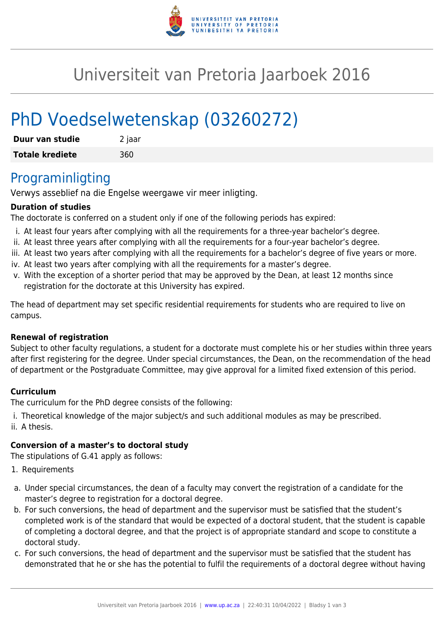

## Universiteit van Pretoria Jaarboek 2016

# PhD Voedselwetenskap (03260272)

| Duur van studie        | 2 jaar |
|------------------------|--------|
| <b>Totale krediete</b> | 360    |

## Programinligting

Verwys asseblief na die Engelse weergawe vir meer inligting.

#### **Duration of studies**

The doctorate is conferred on a student only if one of the following periods has expired:

- i. At least four years after complying with all the requirements for a three-year bachelor's degree.
- ii. At least three years after complying with all the requirements for a four-year bachelor's degree.
- iii. At least two years after complying with all the requirements for a bachelor's degree of five years or more.
- iv. At least two years after complying with all the requirements for a master's degree.
- v. With the exception of a shorter period that may be approved by the Dean, at least 12 months since registration for the doctorate at this University has expired.

The head of department may set specific residential requirements for students who are required to live on campus.

#### **Renewal of registration**

Subject to other faculty regulations, a student for a doctorate must complete his or her studies within three years after first registering for the degree. Under special circumstances, the Dean, on the recommendation of the head of department or the Postgraduate Committee, may give approval for a limited fixed extension of this period.

#### **Curriculum**

The curriculum for the PhD degree consists of the following:

- i. Theoretical knowledge of the major subject/s and such additional modules as may be prescribed.
- ii. A thesis.

#### **Conversion of a master's to doctoral study**

The stipulations of G.41 apply as follows:

- 1. Requirements
- a. Under special circumstances, the dean of a faculty may convert the registration of a candidate for the master's degree to registration for a doctoral degree.
- b. For such conversions, the head of department and the supervisor must be satisfied that the student's completed work is of the standard that would be expected of a doctoral student, that the student is capable of completing a doctoral degree, and that the project is of appropriate standard and scope to constitute a doctoral study.
- c. For such conversions, the head of department and the supervisor must be satisfied that the student has demonstrated that he or she has the potential to fulfil the requirements of a doctoral degree without having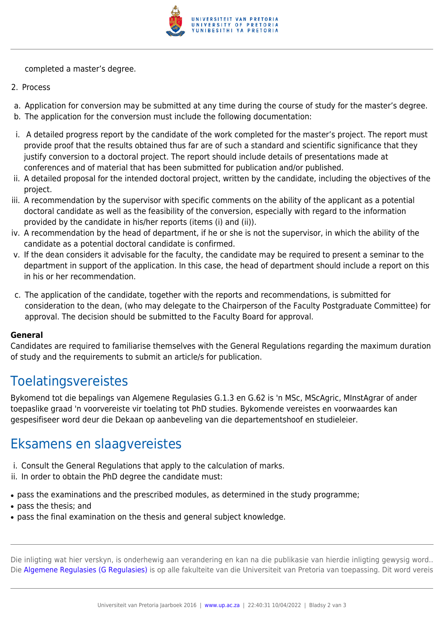

completed a master's degree.

- 2. Process
- a. Application for conversion may be submitted at any time during the course of study for the master's degree.
- b. The application for the conversion must include the following documentation:
- i. A detailed progress report by the candidate of the work completed for the master's project. The report must provide proof that the results obtained thus far are of such a standard and scientific significance that they justify conversion to a doctoral project. The report should include details of presentations made at conferences and of material that has been submitted for publication and/or published.
- ii. A detailed proposal for the intended doctoral project, written by the candidate, including the objectives of the project.
- iii. A recommendation by the supervisor with specific comments on the ability of the applicant as a potential doctoral candidate as well as the feasibility of the conversion, especially with regard to the information provided by the candidate in his/her reports (items (i) and (ii)).
- iv. A recommendation by the head of department, if he or she is not the supervisor, in which the ability of the candidate as a potential doctoral candidate is confirmed.
- v. If the dean considers it advisable for the faculty, the candidate may be required to present a seminar to the department in support of the application. In this case, the head of department should include a report on this in his or her recommendation.
- c. The application of the candidate, together with the reports and recommendations, is submitted for consideration to the dean, (who may delegate to the Chairperson of the Faculty Postgraduate Committee) for approval. The decision should be submitted to the Faculty Board for approval.

#### **General**

Candidates are required to familiarise themselves with the General Regulations regarding the maximum duration of study and the requirements to submit an article/s for publication.

## **Toelatingsvereistes**

Bykomend tot die bepalings van Algemene Regulasies G.1.3 en G.62 is 'n MSc, MScAgric, MInstAgrar of ander toepaslike graad 'n voorvereiste vir toelating tot PhD studies. Bykomende vereistes en voorwaardes kan gespesifiseer word deur die Dekaan op aanbeveling van die departementshoof en studieleier.

## Eksamens en slaagvereistes

- i. Consult the General Regulations that apply to the calculation of marks.
- ii. In order to obtain the PhD degree the candidate must:
- pass the examinations and the prescribed modules, as determined in the study programme;
- pass the thesis; and
- pass the final examination on the thesis and general subject knowledge.

Die inligting wat hier verskyn, is onderhewig aan verandering en kan na die publikasie van hierdie inligting gewysig word.. Die [Algemene Regulasies \(G Regulasies\)](https://www.up.ac.za/yearbooks/2016/rules/view/REG/lg/af) is op alle fakulteite van die Universiteit van Pretoria van toepassing. Dit word vereis